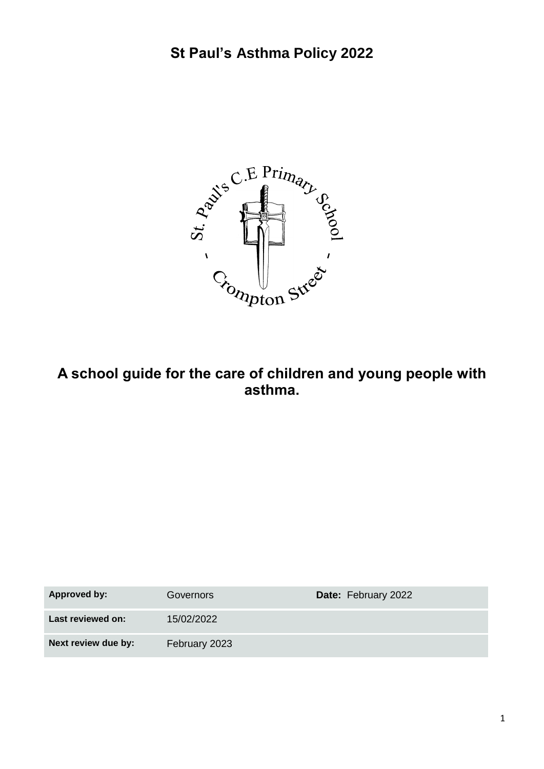

### **A school guide for the care of children and young people with asthma.**

| <b>Approved by:</b> | Governors     | <b>Date: February 2022</b> |
|---------------------|---------------|----------------------------|
| Last reviewed on:   | 15/02/2022    |                            |
| Next review due by: | February 2023 |                            |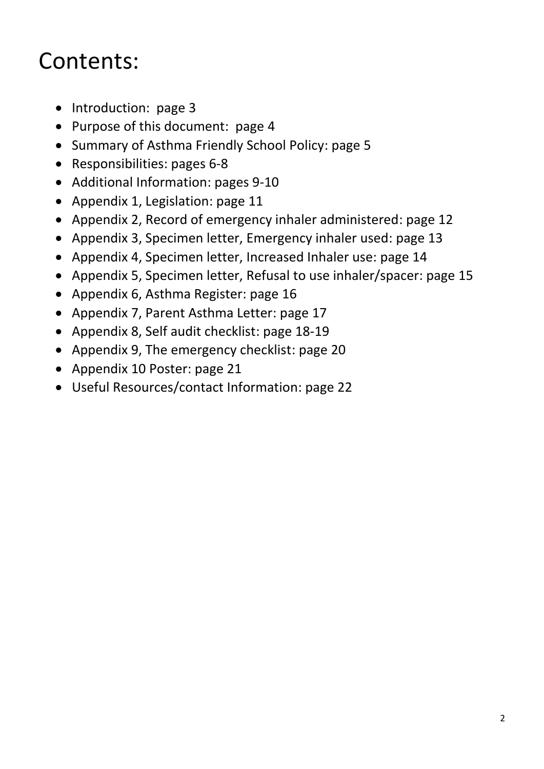## Contents:

- Introduction: page 3
- Purpose of this document: page 4
- Summary of Asthma Friendly School Policy: page 5
- Responsibilities: pages 6-8
- Additional Information: pages 9-10
- Appendix 1, Legislation: page 11
- Appendix 2, Record of emergency inhaler administered: page 12
- Appendix 3, Specimen letter, Emergency inhaler used: page 13
- Appendix 4, Specimen letter, Increased Inhaler use: page 14
- Appendix 5, Specimen letter, Refusal to use inhaler/spacer: page 15
- Appendix 6, Asthma Register: page 16
- Appendix 7, Parent Asthma Letter: page 17
- Appendix 8, Self audit checklist: page 18-19
- Appendix 9, The emergency checklist: page 20
- Appendix 10 Poster: page 21
- Useful Resources/contact Information: page 22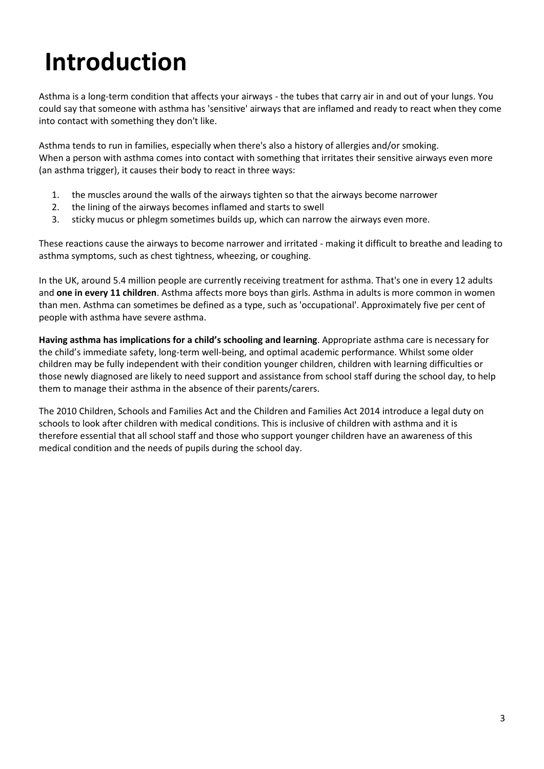# **Introduction**

Asthma is a long-term condition that affects your airways - the tubes that carry air in and out of your lungs. You could say that someone with asthma has 'sensitive' airways that are inflamed and ready to react when they come into contact with something they don't like.

Asthma tends to run in families, especially when there's also a history of allergies and/or smoking. When a person with asthma comes into contact with something that irritates their sensitive airways even more (a[n asthma trigger\)](https://www.asthma.org.uk/advice/triggers/), it causes their body to react in three ways:

- 1. the muscles around the walls of the airways tighten so that the airways become narrower
- 2. the lining of the airways becomes inflamed and starts to swell
- 3. sticky mucus or phlegm sometimes builds up, which can narrow the airways even more.

These reactions cause the airways to become narrower and irritated - making it difficult to breathe and leading to [asthma symptoms,](https://www.asthma.org.uk/advice/understanding-asthma/symptoms/) such as chest tightness, wheezing, or coughing.

In the UK, around 5.4 million people are currently receiving treatment for asthma. That's one in every 12 adults and **one in every 11 children**. Asthma affects more boys than girls. Asthma in adults is more common in women than men. [Asthma can sometimes be defined as a type,](https://www.asthma.org.uk/advice/understanding-asthma/types/) such as 'occupational'. Approximately five per cent of people with asthma have [severe asthma.](https://www.asthma.org.uk/advice/severe-asthma/)

**Having asthma has implications for a child's schooling and learning**. Appropriate asthma care is necessary for the child's immediate safety, long-term well-being, and optimal academic performance. Whilst some older children may be fully independent with their condition younger children, children with learning difficulties or those newly diagnosed are likely to need support and assistance from school staff during the school day, to help them to manage their asthma in the absence of their parents/carers.

The 2010 Children, Schools and Families Act and the Children and Families Act 2014 introduce a legal duty on schools to look after children with medical conditions. This is inclusive of children with asthma and it is therefore essential that all school staff and those who support younger children have an awareness of this medical condition and the needs of pupils during the school day.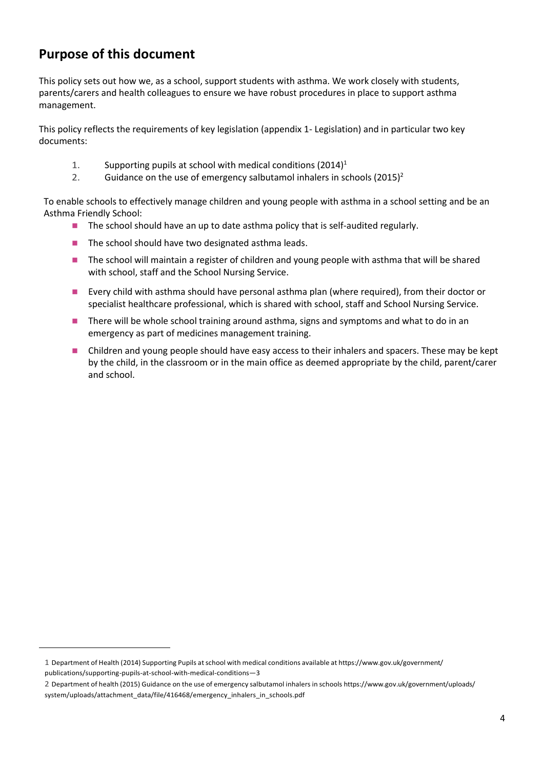#### **Purpose of this document**

 $\ddot{\phantom{a}}$ 

This policy sets out how we, as a school, support students with asthma. We work closely with students, parents/carers and health colleagues to ensure we have robust procedures in place to support asthma management.

This policy reflects the requirements of key legislation (appendix 1- Legislation) and in particular two key documents:

- 1. Supporting pupils at school with medical conditions  $(2014)^1$
- 2. Guidance on the use of emergency salbutamol inhalers in schools  $(2015)^2$

To enable schools to effectively manage children and young people with asthma in a school setting and be an Asthma Friendly School:

- The school should have an up to date asthma policy that is self-audited regularly.
- The school should have two designated asthma leads.
- The school will maintain a register of children and young people with asthma that will be shared with school, staff and the School Nursing Service.
- Every child with asthma should have personal asthma plan (where required), from their doctor or specialist healthcare professional, which is shared with school, staff and School Nursing Service.
- There will be whole school training around asthma, signs and symptoms and what to do in an emergency as part of medicines management training.
- ◼ Children and young people should have easy access to their inhalers and spacers. These may be kept by the child, in the classroom or in the main office as deemed appropriate by the child, parent/carer and school.

<sup>1</sup> Department of Health (2014) Supporting Pupils atschool with medical conditions available at [https://www.gov.uk/government/](https://www.gov.uk/government/publications/supporting) [publications/supporting-](https://www.gov.uk/government/publications/supporting)pupils-at-school-with-medical-conditions—3

<sup>2</sup> Department of health (2015) Guidance on the use of emergency salbutamol inhalersin schools [https://www.gov.uk/government/uploads/](https://www.gov.uk/government/uploads/system/uploads/attachment_data/file/416468/emergency_inhalers_in_schools.pdf) [system/uploads/attachment\\_data/file/416468/emergency\\_inhalers\\_in\\_schools.pdf](https://www.gov.uk/government/uploads/system/uploads/attachment_data/file/416468/emergency_inhalers_in_schools.pdf)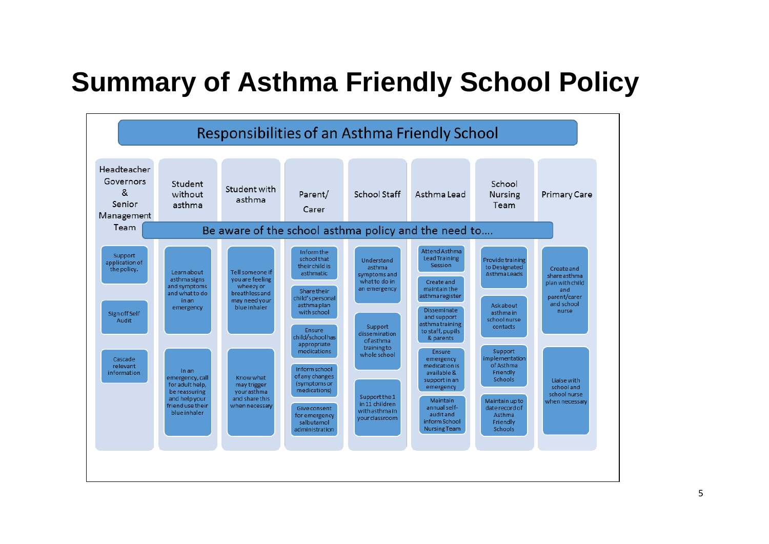# **Summary of Asthma Friendly School Policy**

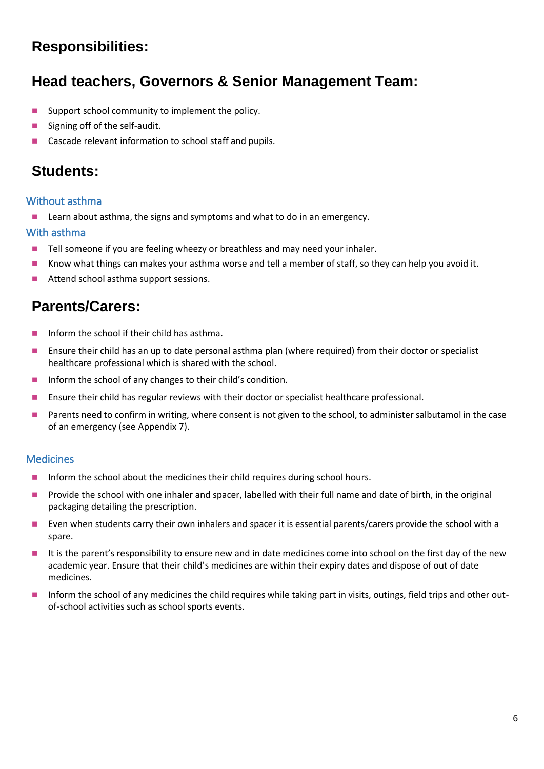### **Responsibilities:**

### **Head teachers, Governors & Senior Management Team:**

- Support school community to implement the policy.
- Signing off of the self-audit.
- Cascade relevant information to school staff and pupils.

### **Students:**

#### Without asthma

Learn about asthma, the signs and symptoms and what to do in an emergency.

#### With asthma

- Tell someone if you are feeling wheezy or breathless and may need your inhaler.
- Know what things can makes your asthma worse and tell a member of staff, so they can help you avoid it.
- Attend school asthma support sessions.

### **Parents/Carers:**

- Inform the school if their child has asthma.
- ◼ Ensure their child has an up to date personal asthma plan (where required) from their doctor or specialist healthcare professional which is shared with the school.
- Inform the school of any changes to their child's condition.
- ◼ Ensure their child has regular reviews with their doctor or specialist healthcare professional.
- Parents need to confirm in writing, where consent is not given to the school, to administer salbutamol in the case of an emergency (see Appendix 7).

#### Medicines

- Inform the school about the medicines their child requires during school hours.
- Provide the school with one inhaler and spacer, labelled with their full name and date of birth, in the original packaging detailing the prescription.
- Even when students carry their own inhalers and spacer it is essential parents/carers provide the school with a spare.
- It is the parent's responsibility to ensure new and in date medicines come into school on the first day of the new academic year. Ensure that their child's medicines are within their expiry dates and dispose of out of date medicines.
- Inform the school of any medicines the child requires while taking part in visits, outings, field trips and other outof-school activities such as school sports events.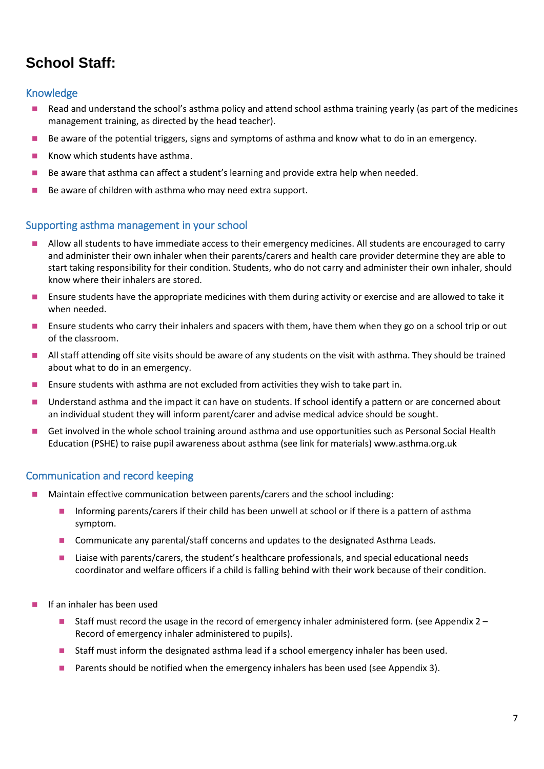### **School Staff:**

#### Knowledge

- Read and understand the school's asthma policy and attend school asthma training yearly (as part of the medicines management training, as directed by the head teacher).
- Be aware of the potential triggers, signs and symptoms of asthma and know what to do in an emergency.
- Know which students have asthma.
- Be aware that asthma can affect a student's learning and provide extra help when needed.
- Be aware of children with asthma who may need extra support.

#### Supporting asthma management in your school

- Allow all students to have immediate access to their emergency medicines. All students are encouraged to carry and administer their own inhaler when their parents/carers and health care provider determine they are able to start taking responsibility for their condition. Students, who do not carry and administer their own inhaler, should know where their inhalers are stored.
- ◼ Ensure students have the appropriate medicines with them during activity or exercise and are allowed to take it when needed.
- ◼ Ensure students who carry their inhalers and spacers with them, have them when they go on a school trip or out of the classroom.
- ◼ All staff attending off site visits should be aware of any students on the visit with asthma. They should be trained about what to do in an emergency.
- Ensure students with asthma are not excluded from activities they wish to take part in.
- Understand asthma and the impact it can have on students. If school identify a pattern or are concerned about an individual student they will inform parent/carer and advise medical advice should be sought.
- Get involved in the whole school training around asthma and use opportunities such as Personal Social Health Education (PSHE) to raise pupil awareness about asthma (see link for materials) www.asthma.org.uk

#### Communication and record keeping

- Maintain effective communication between parents/carers and the school including:
	- Informing parents/carers if their child has been unwell at school or if there is a pattern of asthma symptom.
	- Communicate any parental/staff concerns and updates to the designated Asthma Leads.
	- Liaise with parents/carers, the student's healthcare professionals, and special educational needs coordinator and welfare officers if a child is falling behind with their work because of their condition.
- ◼ If an inhaler has been used
	- Staff must record the usage in the record of emergency inhaler administered form. (see Appendix 2 Record of emergency inhaler administered to pupils).
	- Staff must inform the designated asthma lead if a school emergency inhaler has been used.
	- Parents should be notified when the emergency inhalers has been used (see Appendix 3).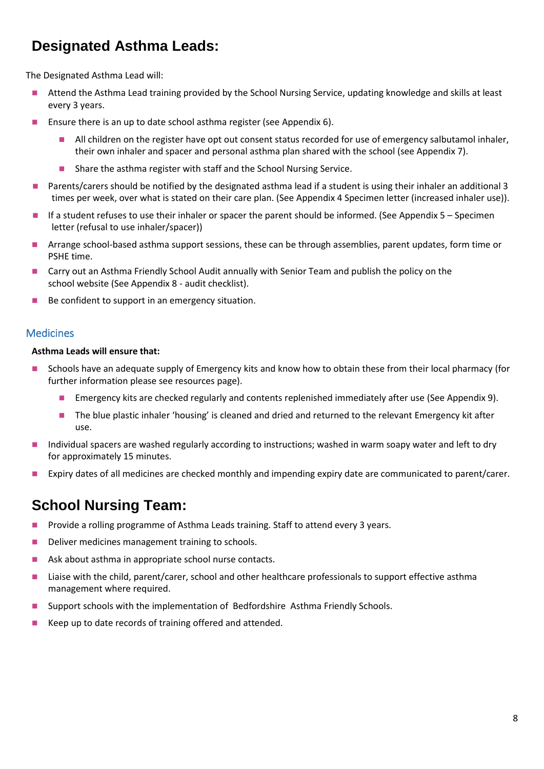### **Designated Asthma Leads:**

The Designated Asthma Lead will:

- ◼ Attend the Asthma Lead training provided by the School Nursing Service, updating knowledge and skills at least every 3 years.
- Ensure there is an up to date school asthma register (see Appendix 6).
	- All children on the register have opt out consent status recorded for use of emergency salbutamol inhaler, their own inhaler and spacer and personal asthma plan shared with the school (see Appendix 7).
	- Share the asthma register with staff and the School Nursing Service.
- Parents/carers should be notified by the designated asthma lead if a student is using their inhaler an additional 3 times per week, over what is stated on their care plan. (See Appendix 4 Specimen letter (increased inhaler use)).
- If a student refuses to use their inhaler or spacer the parent should be informed. (See Appendix 5 Specimen letter (refusal to use inhaler/spacer))
- Arrange school-based asthma support sessions, these can be through assemblies, parent updates, form time or PSHE time.
- Carry out an Asthma Friendly School Audit annually with Senior Team and publish the policy on the school website (See Appendix 8 - audit checklist).
- Be confident to support in an emergency situation.

#### **Medicines**

#### **Asthma Leads will ensure that:**

- ◼ Schools have an adequate supply of Emergency kits and know how to obtain these from their local pharmacy (for further information please see resources page).
	- Emergency kits are checked regularly and contents replenished immediately after use (See Appendix 9).
	- The blue plastic inhaler 'housing' is cleaned and dried and returned to the relevant Emergency kit after use.
- Individual spacers are washed regularly according to instructions; washed in warm soapy water and left to dry for approximately 15 minutes.
- Expiry dates of all medicines are checked monthly and impending expiry date are communicated to parent/carer.

### **School Nursing Team:**

- ◼ Provide a rolling programme of Asthma Leads training. Staff to attend every 3 years.
- ◼ Deliver medicines management training to schools.
- Ask about asthma in appropriate school nurse contacts.
- Liaise with the child, parent/carer, school and other healthcare professionals to support effective asthma management where required.
- Support schools with the implementation of Bedfordshire Asthma Friendly Schools.
- Keep up to date records of training offered and attended.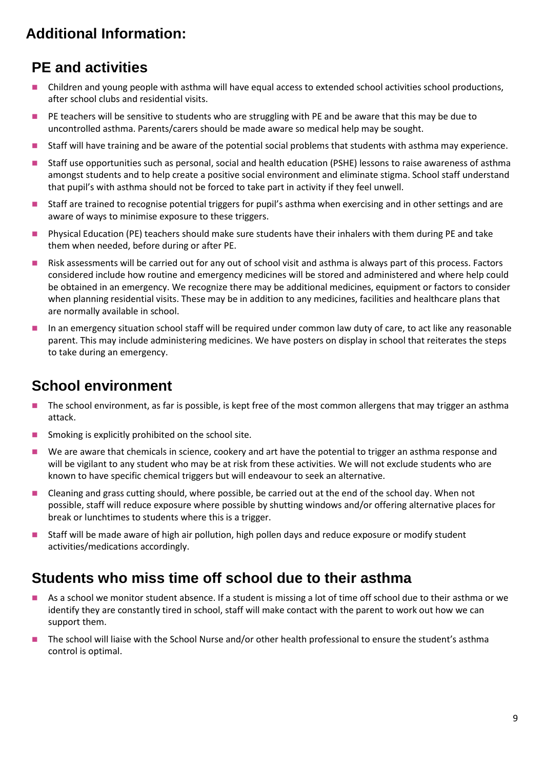### **Additional Information:**

### **PE and activities**

- Children and young people with asthma will have equal access to extended school activities school productions, after school clubs and residential visits.
- PE teachers will be sensitive to students who are struggling with PE and be aware that this may be due to uncontrolled asthma. Parents/carers should be made aware so medical help may be sought.
- Staff will have training and be aware of the potential social problems that students with asthma may experience.
- Staff use opportunities such as personal, social and health education (PSHE) lessons to raise awareness of asthma amongst students and to help create a positive social environment and eliminate stigma. School staff understand that pupil's with asthma should not be forced to take part in activity if they feel unwell.
- Staff are trained to recognise potential triggers for pupil's asthma when exercising and in other settings and are aware of ways to minimise exposure to these triggers.
- Physical Education (PE) teachers should make sure students have their inhalers with them during PE and take them when needed, before during or after PE.
- Risk assessments will be carried out for any out of school visit and asthma is always part of this process. Factors considered include how routine and emergency medicines will be stored and administered and where help could be obtained in an emergency. We recognize there may be additional medicines, equipment or factors to consider when planning residential visits. These may be in addition to any medicines, facilities and healthcare plans that are normally available in school.
- In an emergency situation school staff will be required under common law duty of care, to act like any reasonable parent. This may include administering medicines. We have posters on display in school that reiterates the steps to take during an emergency.

### **School environment**

- The school environment, as far is possible, is kept free of the most common allergens that may trigger an asthma attack.
- Smoking is explicitly prohibited on the school site.
- We are aware that chemicals in science, cookery and art have the potential to trigger an asthma response and will be vigilant to any student who may be at risk from these activities. We will not exclude students who are known to have specific chemical triggers but will endeavour to seek an alternative.
- Cleaning and grass cutting should, where possible, be carried out at the end of the school day. When not possible, staff will reduce exposure where possible by shutting windows and/or offering alternative places for break or lunchtimes to students where this is a trigger.
- Staff will be made aware of high air pollution, high pollen days and reduce exposure or modify student activities/medications accordingly.

### **Students who miss time off school due to their asthma**

- As a school we monitor student absence. If a student is missing a lot of time off school due to their asthma or we identify they are constantly tired in school, staff will make contact with the parent to work out how we can support them.
- The school will liaise with the School Nurse and/or other health professional to ensure the student's asthma control is optimal.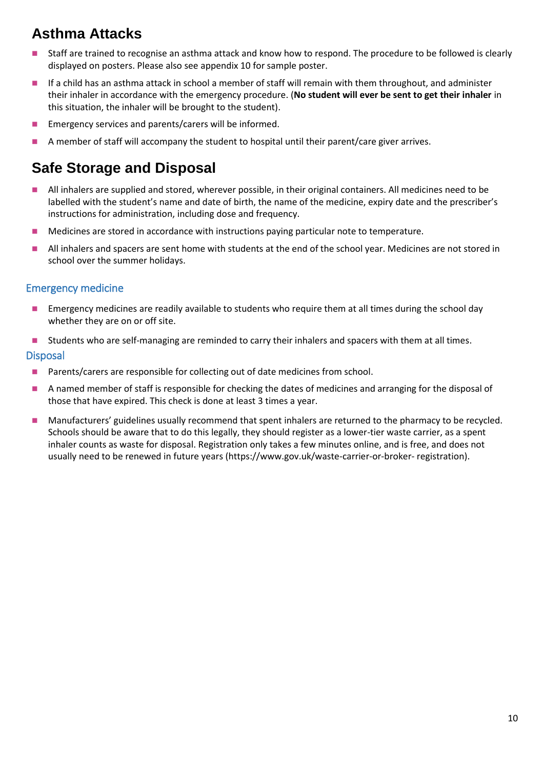### **Asthma Attacks**

- Staff are trained to recognise an asthma attack and know how to respond. The procedure to be followed is clearly displayed on posters. Please also see appendix 10 for sample poster.
- If a child has an asthma attack in school a member of staff will remain with them throughout, and administer their inhaler in accordance with the emergency procedure. (**No student will ever be sent to get their inhaler** in this situation, the inhaler will be brought to the student).
- Emergency services and parents/carers will be informed.
- A member of staff will accompany the student to hospital until their parent/care giver arrives.

### **Safe Storage and Disposal**

- All inhalers are supplied and stored, wherever possible, in their original containers. All medicines need to be labelled with the student's name and date of birth, the name of the medicine, expiry date and the prescriber's instructions for administration, including dose and frequency.
- Medicines are stored in accordance with instructions paying particular note to temperature.
- All inhalers and spacers are sent home with students at the end of the school year. Medicines are not stored in school over the summer holidays.

#### Emergency medicine

- ◼ Emergency medicines are readily available to students who require them at all times during the school day whether they are on or off site.
- Students who are self-managing are reminded to carry their inhalers and spacers with them at all times. **Disposal**
- Parents/carers are responsible for collecting out of date medicines from school.
- A named member of staff is responsible for checking the dates of medicines and arranging for the disposal of those that have expired. This check is done at least 3 times a year.
- Manufacturers' guidelines usually recommend that spent inhalers are returned to the pharmacy to be recycled. Schools should be aware that to do this legally, they should register as a lower-tier waste carrier, as a spent inhaler counts as waste for disposal. Registration only takes a few minutes online, and is free, and does not usually need to be renewed in future years [\(https://www.gov.uk/waste-](https://www.gov.uk/waste-carrier-or-broker-registration)carrier-or-broker- registration).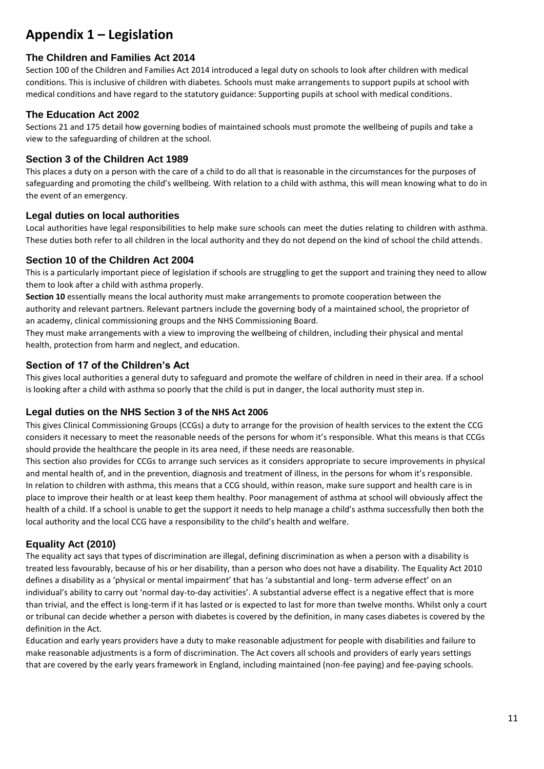### **Appendix 1 – Legislation**

#### **The Children and Families Act 2014**

Section 100 of the Children and Families Act 2014 introduced a legal duty on schools to look after children with medical conditions. This is inclusive of children with diabetes. Schools must make arrangements to support pupils at school with medical conditions and have regard to the statutory guidance: Supporting pupils at school with medical conditions.

#### **The Education Act 2002**

Sections 21 and 175 detail how governing bodies of maintained schools must promote the wellbeing of pupils and take a view to the safeguarding of children at the school.

#### **Section 3 of the Children Act 1989**

This places a duty on a person with the care of a child to do all that is reasonable in the circumstances for the purposes of safeguarding and promoting the child's wellbeing. With relation to a child with asthma, this will mean knowing what to do in the event of an emergency.

#### **Legal duties on local authorities**

Local authorities have legal responsibilities to help make sure schools can meet the duties relating to children with asthma. These duties both refer to all children in the local authority and they do not depend on the kind of school the child attends.

#### **Section 10 of the Children Act 2004**

This is a particularly important piece of legislation if schools are struggling to get the support and training they need to allow them to look after a child with asthma properly.

**Section 10** essentially means the local authority must make arrangements to promote cooperation between the authority and relevant partners. Relevant partners include the governing body of a maintained school, the proprietor of an academy, clinical commissioning groups and the NHS Commissioning Board.

They must make arrangements with a view to improving the wellbeing of children, including their physical and mental health, protection from harm and neglect, and education.

#### **Section of 17 of the Children's Act**

This gives local authorities a general duty to safeguard and promote the welfare of children in need in their area. If a school is looking after a child with asthma so poorly that the child is put in danger, the local authority must step in.

#### **Legal duties on the NHS Section 3 of the NHS Act 2006**

This gives Clinical Commissioning Groups (CCGs) a duty to arrange for the provision of health services to the extent the CCG considers it necessary to meet the reasonable needs of the persons for whom it's responsible. What this means is that CCGs should provide the healthcare the people in its area need, if these needs are reasonable.

This section also provides for CCGs to arrange such services as it considers appropriate to secure improvements in physical and mental health of, and in the prevention, diagnosis and treatment of illness, in the persons for whom it's responsible. In relation to children with asthma, this means that a CCG should, within reason, make sure support and health care is in place to improve their health or at least keep them healthy. Poor management of asthma at school will obviously affect the health of a child. If a school is unable to get the support it needs to help manage a child's asthma successfully then both the local authority and the local CCG have a responsibility to the child's health and welfare.

#### **Equality Act (2010)**

The equality act says that types of discrimination are illegal, defining discrimination as when a person with a disability is treated less favourably, because of his or her disability, than a person who does not have a disability. The Equality Act 2010 defines a disability as a 'physical or mental impairment' that has 'a substantial and long- term adverse effect' on an individual's ability to carry out 'normal day-to-day activities'. A substantial adverse effect is a negative effect that is more than trivial, and the effect is long-term if it has lasted or is expected to last for more than twelve months. Whilst only a court or tribunal can decide whether a person with diabetes is covered by the definition, in many cases diabetes is covered by the definition in the Act.

Education and early years providers have a duty to make reasonable adjustment for people with disabilities and failure to make reasonable adjustments is a form of discrimination. The Act covers all schools and providers of early years settings that are covered by the early years framework in England, including maintained (non-fee paying) and fee-paying schools.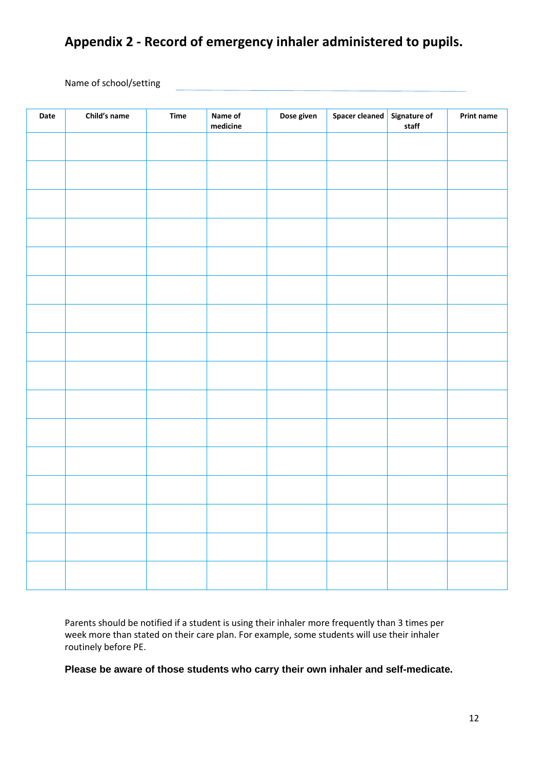### **Appendix 2 - Record of emergency inhaler administered to pupils.**

Name of school/setting

| Date | Child's name | Time | Name of<br>medicine | Dose given | <b>Spacer cleaned</b> | Signature of<br>staff | <b>Print name</b> |
|------|--------------|------|---------------------|------------|-----------------------|-----------------------|-------------------|
|      |              |      |                     |            |                       |                       |                   |
|      |              |      |                     |            |                       |                       |                   |
|      |              |      |                     |            |                       |                       |                   |
|      |              |      |                     |            |                       |                       |                   |
|      |              |      |                     |            |                       |                       |                   |
|      |              |      |                     |            |                       |                       |                   |
|      |              |      |                     |            |                       |                       |                   |
|      |              |      |                     |            |                       |                       |                   |
|      |              |      |                     |            |                       |                       |                   |
|      |              |      |                     |            |                       |                       |                   |
|      |              |      |                     |            |                       |                       |                   |
|      |              |      |                     |            |                       |                       |                   |
|      |              |      |                     |            |                       |                       |                   |
|      |              |      |                     |            |                       |                       |                   |
|      |              |      |                     |            |                       |                       |                   |
|      |              |      |                     |            |                       |                       |                   |

Parents should be notified if a student is using their inhaler more frequently than 3 times per week more than stated on their care plan. For example, some students will use their inhaler routinely before PE.

**Please be aware of those students who carry their own inhaler and self-medicate.**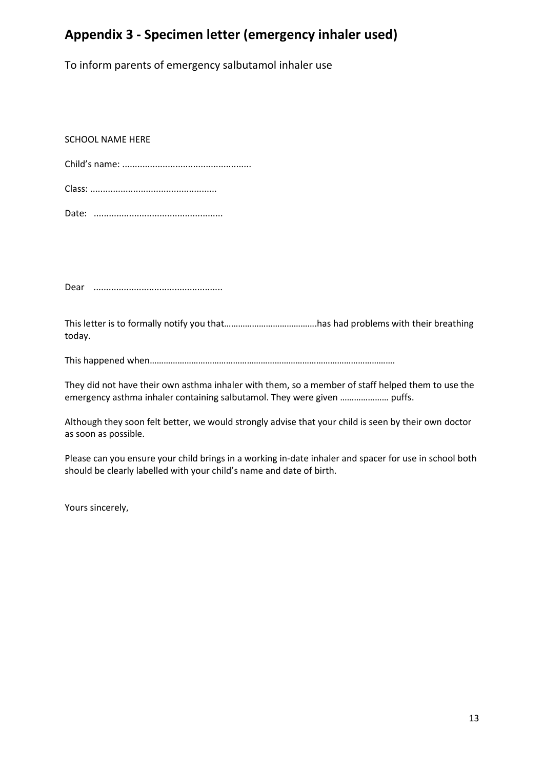#### **Appendix 3 - Specimen letter (emergency inhaler used)**

To inform parents of emergency salbutamol inhaler use

SCHOOL NAME HERE

Dear ...................................................

This letter is to formally notify you that………………………………….has had problems with their breathing today.

This happened when…………………………………………………………………………………………….

They did not have their own asthma inhaler with them, so a member of staff helped them to use the emergency asthma inhaler containing salbutamol. They were given ………………… puffs.

Although they soon felt better, we would strongly advise that your child is seen by their own doctor as soon as possible.

Please can you ensure your child brings in a working in-date inhaler and spacer for use in school both should be clearly labelled with your child's name and date of birth.

Yours sincerely,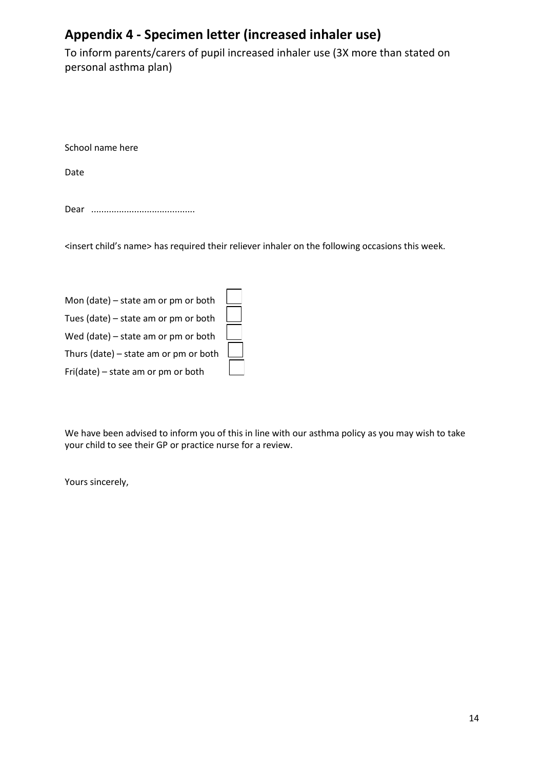### **Appendix 4 - Specimen letter (increased inhaler use)**

To inform parents/carers of pupil increased inhaler use (3X more than stated on personal asthma plan)

School name here

Date

Dear .........................................

<insert child's name> has required their reliever inhaler on the following occasions this week.

| Mon (date) - state am or pm or both   |  |
|---------------------------------------|--|
| Tues (date) - state am or pm or both  |  |
| Wed (date) - state am or pm or both   |  |
| Thurs (date) - state am or pm or both |  |
| Fri(date) – state am or pm or both    |  |

We have been advised to inform you of this in line with our asthma policy as you may wish to take your child to see their GP or practice nurse for a review.

Yours sincerely,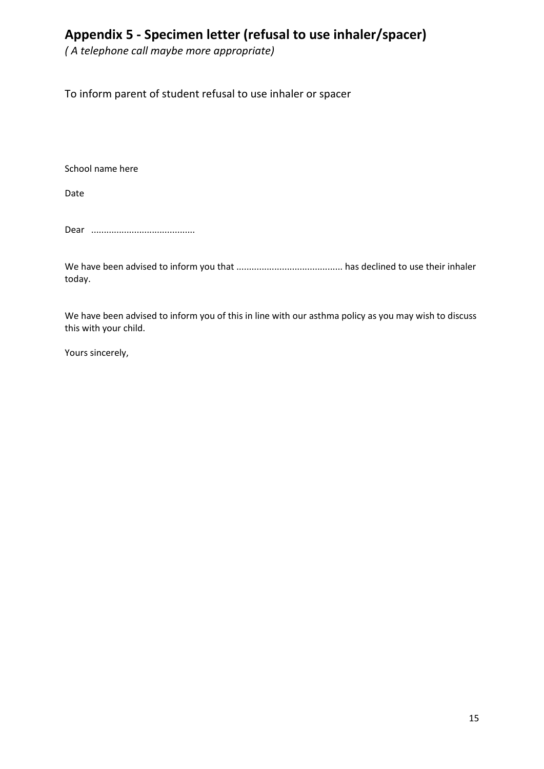### **Appendix 5 - Specimen letter (refusal to use inhaler/spacer)**

*( A telephone call maybe more appropriate)*

To inform parent of student refusal to use inhaler or spacer

School name here

Date

Dear .........................................

We have been advised to inform you that .......................................... has declined to use their inhaler today.

We have been advised to inform you of this in line with our asthma policy as you may wish to discuss this with your child.

Yours sincerely,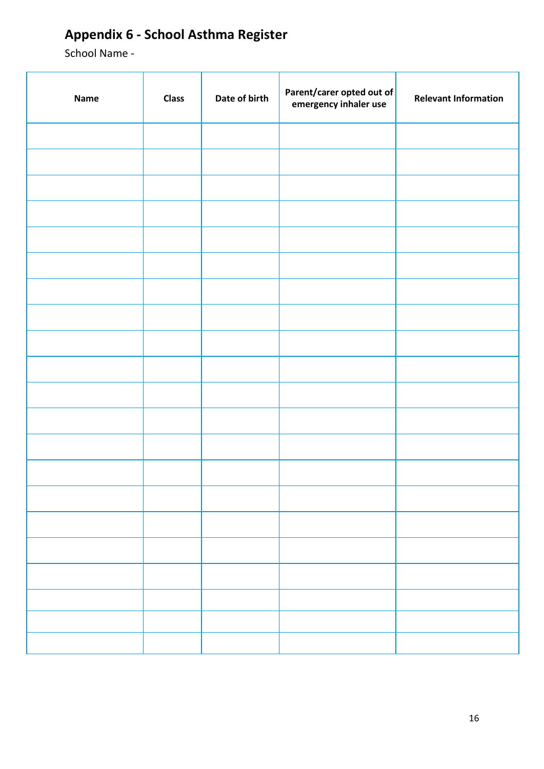### **Appendix 6 - School Asthma Register**

School Name -

| <b>Name</b> | <b>Class</b> | Date of birth | Parent/carer opted out of<br>emergency inhaler use | <b>Relevant Information</b> |
|-------------|--------------|---------------|----------------------------------------------------|-----------------------------|
|             |              |               |                                                    |                             |
|             |              |               |                                                    |                             |
|             |              |               |                                                    |                             |
|             |              |               |                                                    |                             |
|             |              |               |                                                    |                             |
|             |              |               |                                                    |                             |
|             |              |               |                                                    |                             |
|             |              |               |                                                    |                             |
|             |              |               |                                                    |                             |
|             |              |               |                                                    |                             |
|             |              |               |                                                    |                             |
|             |              |               |                                                    |                             |
|             |              |               |                                                    |                             |
|             |              |               |                                                    |                             |
|             |              |               |                                                    |                             |
|             |              |               |                                                    |                             |
|             |              |               |                                                    |                             |
|             |              |               |                                                    |                             |
|             |              |               |                                                    |                             |
|             |              |               |                                                    |                             |
|             |              |               |                                                    |                             |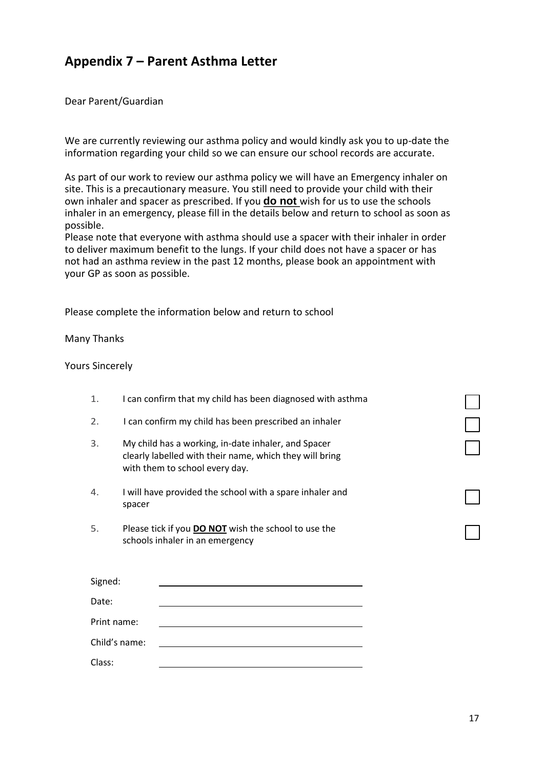#### **Appendix 7 – Parent Asthma Letter**

Dear Parent/Guardian

We are currently reviewing our asthma policy and would kindly ask you to up-date the information regarding your child so we can ensure our school records are accurate.

As part of our work to review our asthma policy we will have an Emergency inhaler on site. This is a precautionary measure. You still need to provide your child with their own inhaler and spacer as prescribed. If you **do not** wish for us to use the schools inhaler in an emergency, please fill in the details below and return to school as soon as possible.

Please note that everyone with asthma should use a spacer with their inhaler in order to deliver maximum benefit to the lungs. If your child does not have a spacer or has not had an asthma review in the past 12 months, please book an appointment with your GP as soon as possible.

Please complete the information below and return to school

Many Thanks

Yours Sincerely

| 1.            | I can confirm that my child has been diagnosed with asthma                                                                                       |  |  |
|---------------|--------------------------------------------------------------------------------------------------------------------------------------------------|--|--|
| 2.            | I can confirm my child has been prescribed an inhaler                                                                                            |  |  |
| 3.            | My child has a working, in-date inhaler, and Spacer<br>clearly labelled with their name, which they will bring<br>with them to school every day. |  |  |
| 4.            | I will have provided the school with a spare inhaler and<br>spacer                                                                               |  |  |
| 5.            | Please tick if you <b>DO NOT</b> wish the school to use the<br>schools inhaler in an emergency                                                   |  |  |
| Signed:       |                                                                                                                                                  |  |  |
| Date:         |                                                                                                                                                  |  |  |
| Print name:   |                                                                                                                                                  |  |  |
| Child's name: |                                                                                                                                                  |  |  |
| Class:        |                                                                                                                                                  |  |  |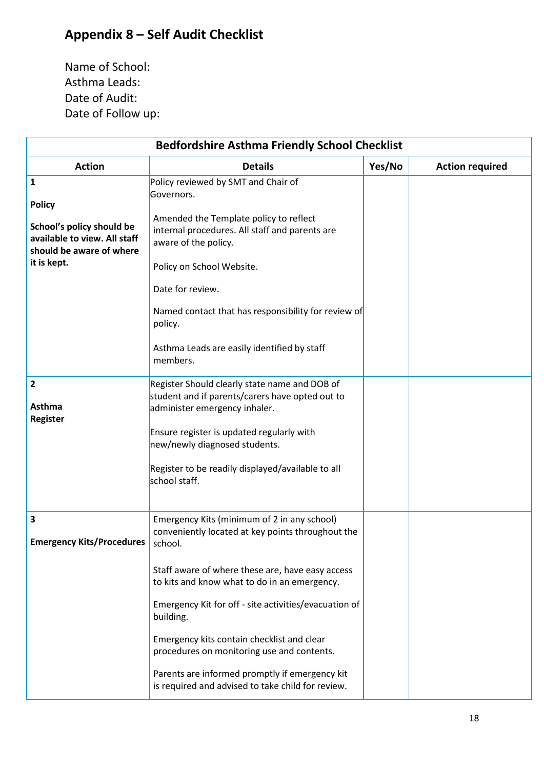### **Appendix 8 – Self Audit Checklist**

Name of School: Asthma Leads: Date of Audit: Date of Follow up:

| <b>Bedfordshire Asthma Friendly School Checklist</b>                                                                       |                                                                                                                                                                                                                                                                                                                                                                                                                                                                                          |        |                        |  |
|----------------------------------------------------------------------------------------------------------------------------|------------------------------------------------------------------------------------------------------------------------------------------------------------------------------------------------------------------------------------------------------------------------------------------------------------------------------------------------------------------------------------------------------------------------------------------------------------------------------------------|--------|------------------------|--|
| <b>Action</b>                                                                                                              | <b>Details</b>                                                                                                                                                                                                                                                                                                                                                                                                                                                                           | Yes/No | <b>Action required</b> |  |
| 1<br><b>Policy</b><br>School's policy should be<br>available to view. All staff<br>should be aware of where<br>it is kept. | Policy reviewed by SMT and Chair of<br>Governors.<br>Amended the Template policy to reflect<br>internal procedures. All staff and parents are<br>aware of the policy.<br>Policy on School Website.<br>Date for review.<br>Named contact that has responsibility for review of<br>policy.<br>Asthma Leads are easily identified by staff<br>members.                                                                                                                                      |        |                        |  |
| $\overline{\mathbf{2}}$<br>Asthma<br>Register                                                                              | Register Should clearly state name and DOB of<br>student and if parents/carers have opted out to<br>administer emergency inhaler.<br>Ensure register is updated regularly with<br>new/newly diagnosed students.<br>Register to be readily displayed/available to all<br>school staff.                                                                                                                                                                                                    |        |                        |  |
| 3<br><b>Emergency Kits/Procedures</b>                                                                                      | Emergency Kits (minimum of 2 in any school)<br>conveniently located at key points throughout the<br>school.<br>Staff aware of where these are, have easy access<br>to kits and know what to do in an emergency.<br>Emergency Kit for off - site activities/evacuation of<br>building.<br>Emergency kits contain checklist and clear<br>procedures on monitoring use and contents.<br>Parents are informed promptly if emergency kit<br>is required and advised to take child for review. |        |                        |  |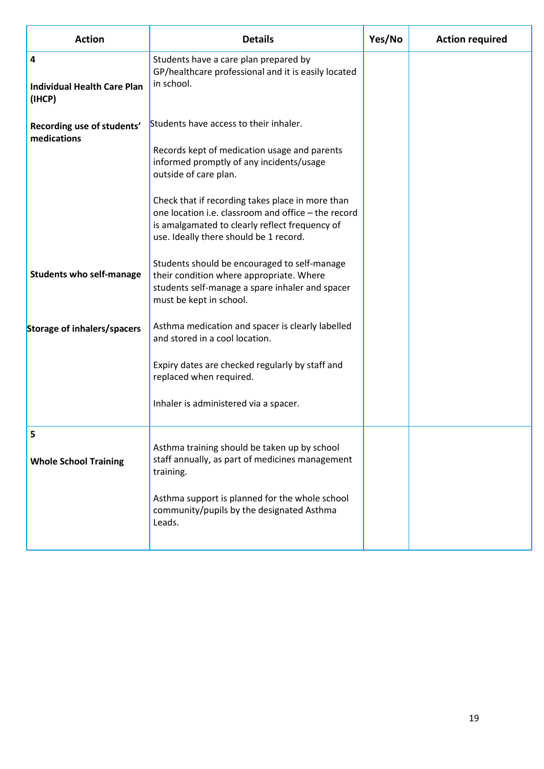| <b>Action</b>                                                                                               | <b>Details</b>                                                                                                                                                                                                                                                                                                                                                                                                                                                                                                                                                                                                                                                                                                   | Yes/No | <b>Action required</b> |
|-------------------------------------------------------------------------------------------------------------|------------------------------------------------------------------------------------------------------------------------------------------------------------------------------------------------------------------------------------------------------------------------------------------------------------------------------------------------------------------------------------------------------------------------------------------------------------------------------------------------------------------------------------------------------------------------------------------------------------------------------------------------------------------------------------------------------------------|--------|------------------------|
| 4<br><b>Individual Health Care Plan</b><br>(IHCP)                                                           | Students have a care plan prepared by<br>GP/healthcare professional and it is easily located<br>in school.                                                                                                                                                                                                                                                                                                                                                                                                                                                                                                                                                                                                       |        |                        |
| Recording use of students'<br>medications<br><b>Students who self-manage</b><br>Storage of inhalers/spacers | Students have access to their inhaler.<br>Records kept of medication usage and parents<br>informed promptly of any incidents/usage<br>outside of care plan.<br>Check that if recording takes place in more than<br>one location i.e. classroom and office - the record<br>is amalgamated to clearly reflect frequency of<br>use. Ideally there should be 1 record.<br>Students should be encouraged to self-manage<br>their condition where appropriate. Where<br>students self-manage a spare inhaler and spacer<br>must be kept in school.<br>Asthma medication and spacer is clearly labelled<br>and stored in a cool location.<br>Expiry dates are checked regularly by staff and<br>replaced when required. |        |                        |
|                                                                                                             | Inhaler is administered via a spacer.                                                                                                                                                                                                                                                                                                                                                                                                                                                                                                                                                                                                                                                                            |        |                        |
| 5<br><b>Whole School Training</b>                                                                           | Asthma training should be taken up by school<br>staff annually, as part of medicines management<br>training.<br>Asthma support is planned for the whole school<br>community/pupils by the designated Asthma<br>Leads.                                                                                                                                                                                                                                                                                                                                                                                                                                                                                            |        |                        |
|                                                                                                             |                                                                                                                                                                                                                                                                                                                                                                                                                                                                                                                                                                                                                                                                                                                  |        |                        |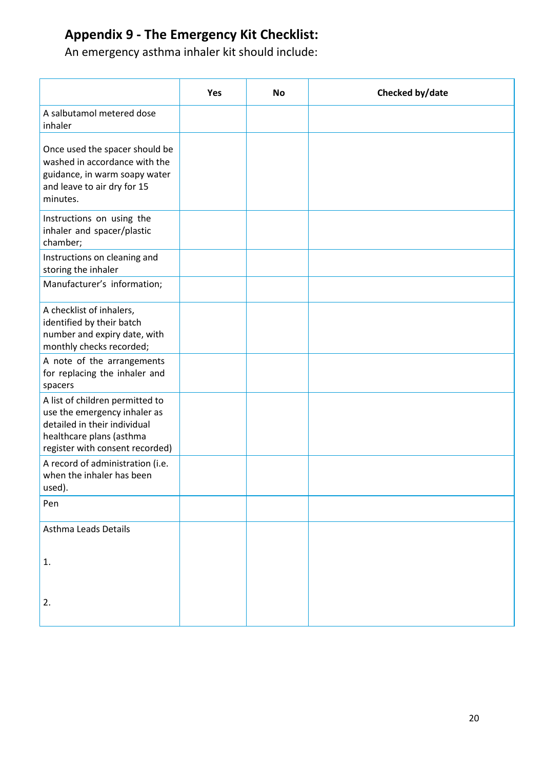### **Appendix 9 - The Emergency Kit Checklist:**

An emergency asthma inhaler kit should include:

|                                                                                                                                                                | Yes | <b>No</b> | Checked by/date |
|----------------------------------------------------------------------------------------------------------------------------------------------------------------|-----|-----------|-----------------|
| A salbutamol metered dose<br>inhaler                                                                                                                           |     |           |                 |
| Once used the spacer should be<br>washed in accordance with the<br>guidance, in warm soapy water<br>and leave to air dry for 15<br>minutes.                    |     |           |                 |
| Instructions on using the<br>inhaler and spacer/plastic<br>chamber;                                                                                            |     |           |                 |
| Instructions on cleaning and<br>storing the inhaler                                                                                                            |     |           |                 |
| Manufacturer's information;                                                                                                                                    |     |           |                 |
| A checklist of inhalers,<br>identified by their batch<br>number and expiry date, with<br>monthly checks recorded;                                              |     |           |                 |
| A note of the arrangements<br>for replacing the inhaler and<br>spacers                                                                                         |     |           |                 |
| A list of children permitted to<br>use the emergency inhaler as<br>detailed in their individual<br>healthcare plans (asthma<br>register with consent recorded) |     |           |                 |
| A record of administration (i.e.<br>when the inhaler has been<br>used).                                                                                        |     |           |                 |
| Pen                                                                                                                                                            |     |           |                 |
| Asthma Leads Details                                                                                                                                           |     |           |                 |
| 1.                                                                                                                                                             |     |           |                 |
| 2.                                                                                                                                                             |     |           |                 |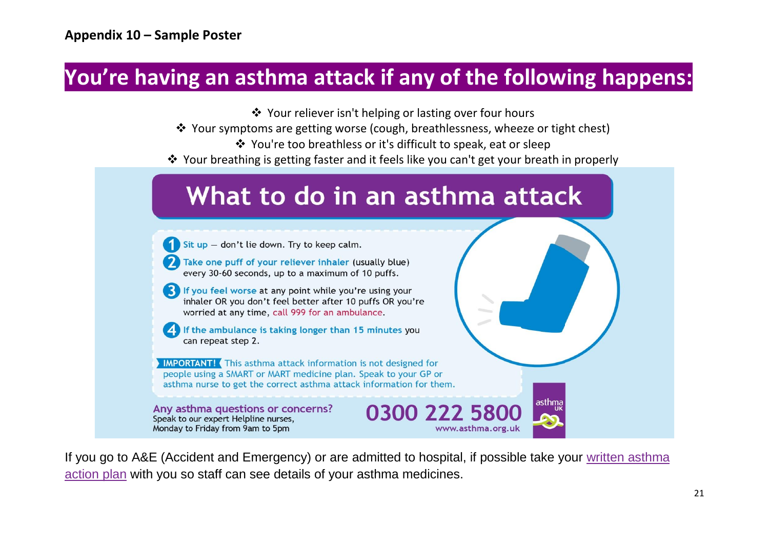## **You're having an asthma attack if any of the following happens:**

❖ Your reliever isn't helping or lasting over four hours

- ❖ Your symptoms are getting worse (cough, breathlessness, wheeze or tight chest)
	- ❖ You're too breathless or it's difficult to speak, eat or sleep
- ❖ Your breathing is getting faster and it feels like you can't get your breath in properly

## What to do in an asthma attack

Sit up - don't lie down. Try to keep calm.

Take one puff of your reliever inhaler (usually blue) every 30-60 seconds, up to a maximum of 10 puffs.

**3** If you feel worse at any point while you're using your inhaler OR you don't feel better after 10 puffs OR you're worried at any time, call 999 for an ambulance.

If the ambulance is taking longer than 15 minutes you can repeat step 2.

**IMPORTANT!** (This asthma attack information is not designed for people using a SMART or MART medicine plan. Speak to your GP or asthma nurse to get the correct asthma attack information for them.

Any asthma questions or concerns? Speak to our expert Helpline nurses, Monday to Friday from 9am to 5pm

If you go to A&E (Accident and Emergency) or are admitted to hospital, if possible take your written [asthma](https://www.asthma.org.uk/advice/manage-your-asthma/action-plan/) [action](https://www.asthma.org.uk/advice/manage-your-asthma/action-plan/) plan with you so staff can see details of your asthma medicines.

0300 222 5800

www.asthma.org.uk

asthma